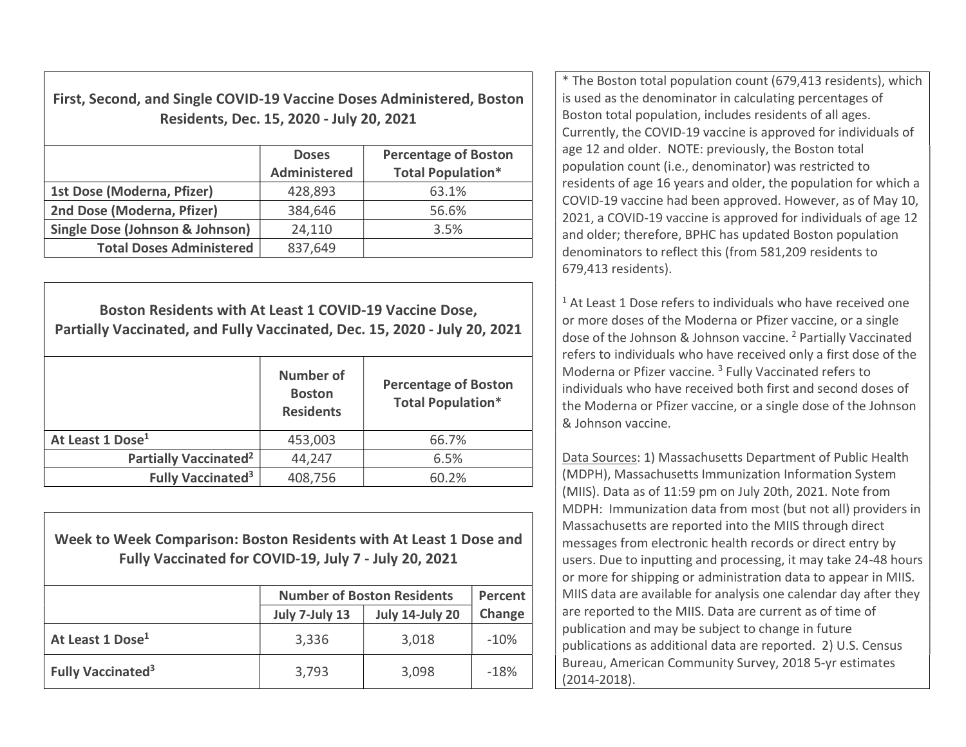First, Second, and Single COVID-19 Vaccine Doses Administered, Boston Residents, Dec. 15, 2020 - July 20, 2021

|                                            | <b>Doses</b><br><b>Administered</b> | <b>Percentage of Boston</b><br><b>Total Population*</b> |
|--------------------------------------------|-------------------------------------|---------------------------------------------------------|
| 1st Dose (Moderna, Pfizer)                 | 428,893                             | 63.1%                                                   |
| 2nd Dose (Moderna, Pfizer)                 | 384,646                             | 56.6%                                                   |
| <b>Single Dose (Johnson &amp; Johnson)</b> | 24,110                              | 3.5%                                                    |
| <b>Total Doses Administered</b>            | 837,649                             |                                                         |

Boston Residents with At Least 1 COVID-19 Vaccine Dose, Partially Vaccinated, and Fully Vaccinated, Dec. 15, 2020 - July 20, 2021 Number of Boston **Residents** Percentage of Boston Total Population\* At Least 1 Dose<sup>1</sup> **453,003** 66.7% Partially Vaccinated<sup>2</sup>  $44,247$  6.5% Fully Vaccinated<sup>3</sup>  $408,756$   $60.2\%$ 

Week to Week Comparison: Boston Residents with At Least 1 Dose and Fully Vaccinated for COVID-19, July 7 - July 20, 2021

|                                     | <b>Number of Boston Residents</b> | Percent                |        |
|-------------------------------------|-----------------------------------|------------------------|--------|
|                                     | July 7-July 13                    | <b>July 14-July 20</b> | Change |
| At Least 1 Dose <sup>1</sup>        | 3,336                             | 3,018                  | $-10%$ |
| <b>Fully Vaccinated<sup>3</sup></b> | 3,793                             | 3,098                  | $-18%$ |

\* The Boston total population count (679,413 residents), which is used as the denominator in calculating percentages of Boston total population, includes residents of all ages. Currently, the COVID-19 vaccine is approved for individuals of age 12 and older. NOTE: previously, the Boston total population count (i.e., denominator) was restricted to residents of age 16 years and older, the population for which a COVID-19 vaccine had been approved. However, as of May 10, 2021, a COVID-19 vaccine is approved for individuals of age 12 and older; therefore, BPHC has updated Boston population denominators to reflect this (from 581,209 residents to 679,413 residents).

 $1$  At Least 1 Dose refers to individuals who have received one or more doses of the Moderna or Pfizer vaccine, or a single dose of the Johnson & Johnson vaccine. <sup>2</sup> Partially Vaccinated refers to individuals who have received only a first dose of the Moderna or Pfizer vaccine.<sup>3</sup> Fully Vaccinated refers to individuals who have received both first and second doses of the Moderna or Pfizer vaccine, or a single dose of the Johnson & Johnson vaccine.

Data Sources: 1) Massachusetts Department of Public Health (MDPH), Massachusetts Immunization Information System (MIIS). Data as of 11:59 pm on July 20th, 2021. Note from MDPH: Immunization data from most (but not all) providers in Massachusetts are reported into the MIIS through direct messages from electronic health records or direct entry by users. Due to inputting and processing, it may take 24-48 hours or more for shipping or administration data to appear in MIIS. MIIS data are available for analysis one calendar day after they are reported to the MIIS. Data are current as of time of publication and may be subject to change in future publications as additional data are reported. 2) U.S. Census Bureau, American Community Survey, 2018 5-yr estimates (2014-2018).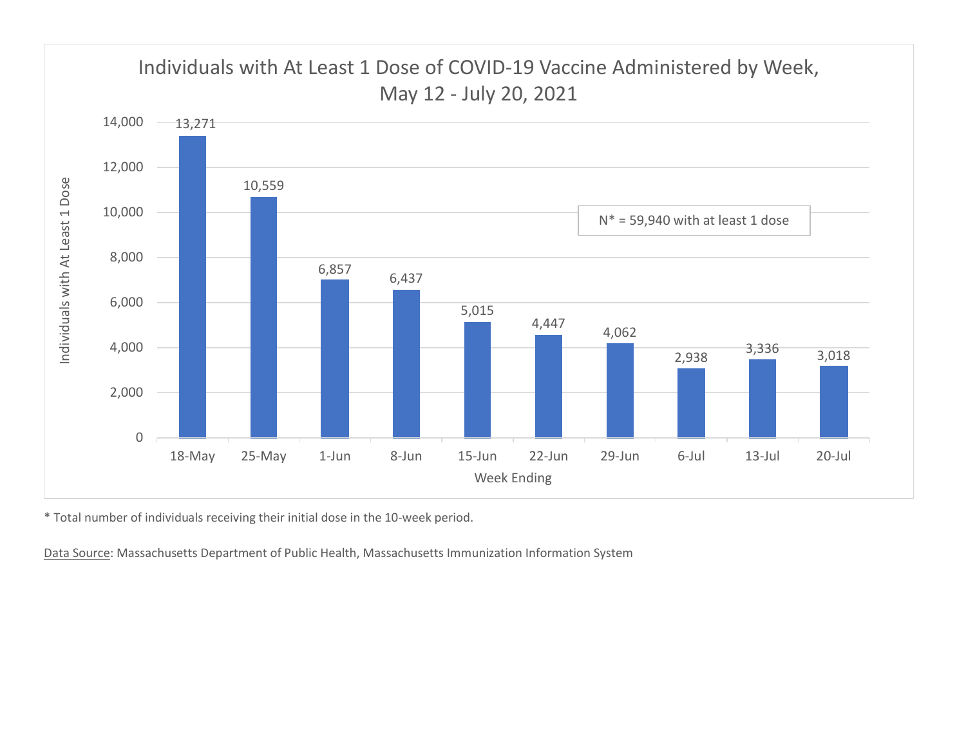

\* Total number of individuals receiving their initial dose in the 10-week period.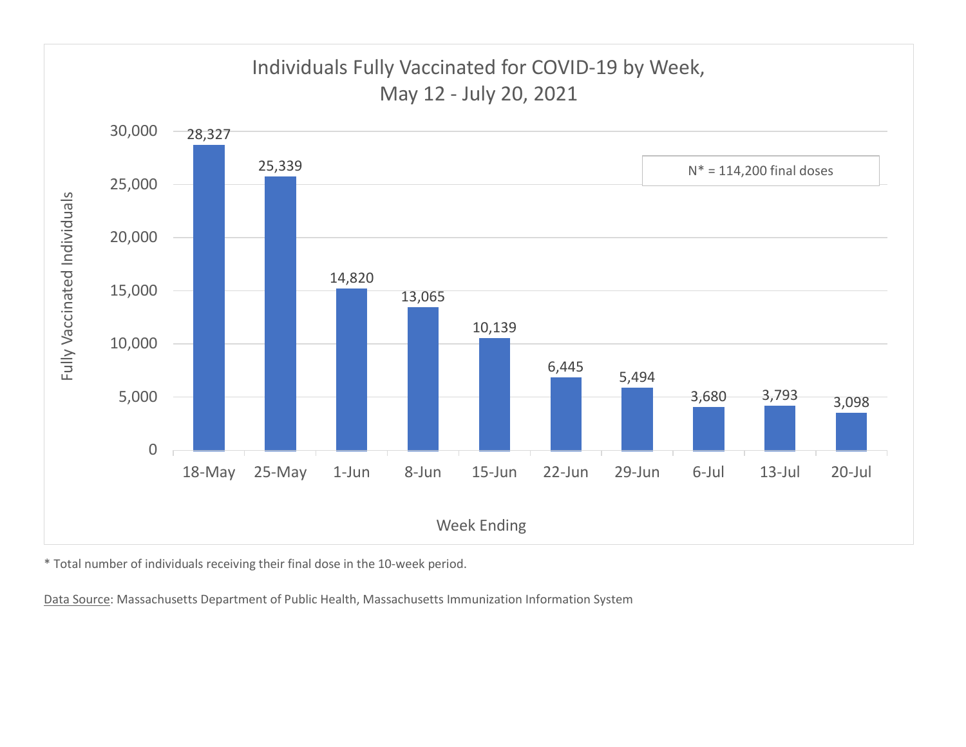

\* Total number of individuals receiving their final dose in the 10-week period.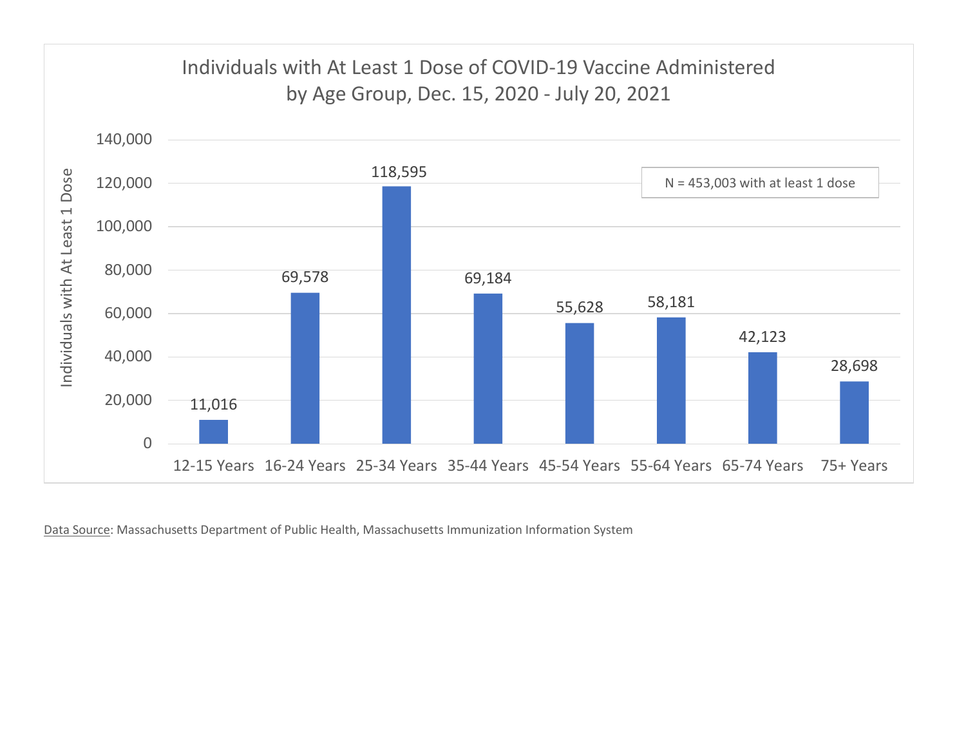

Data Source: Massachusetts Department of Public Health, Massachusetts Immunization Information System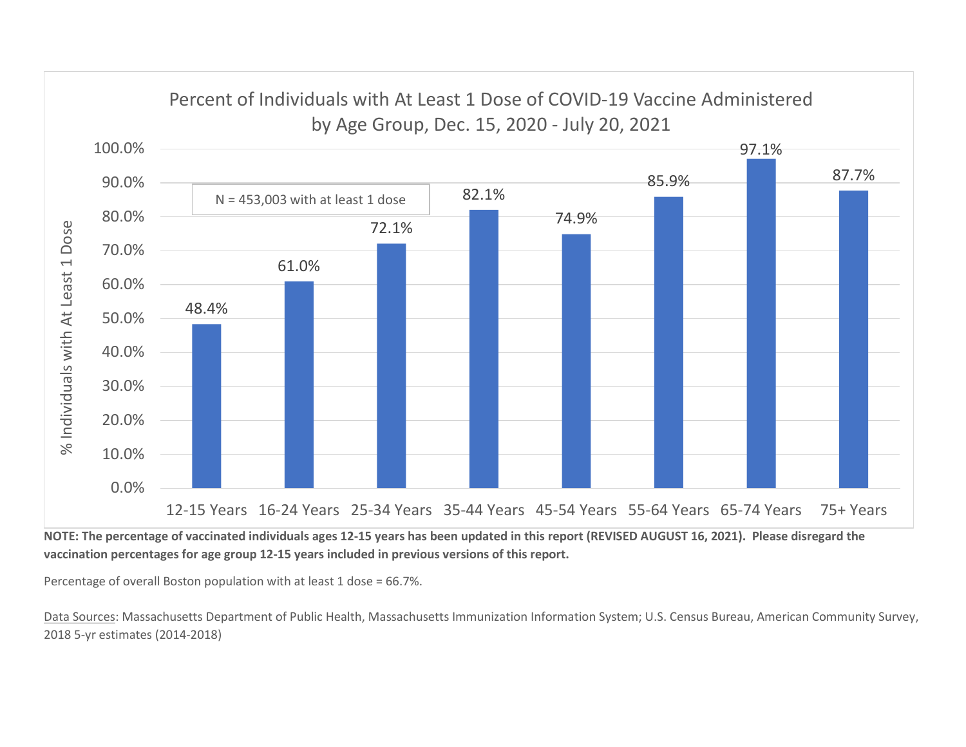

NOTE: The percentage of vaccinated individuals ages 12-15 years has been updated in this report (REVISED AUGUST 16, 2021). Please disregard the vaccination percentages for age group 12-15 years included in previous versions of this report.

Percentage of overall Boston population with at least 1 dose = 66.7%.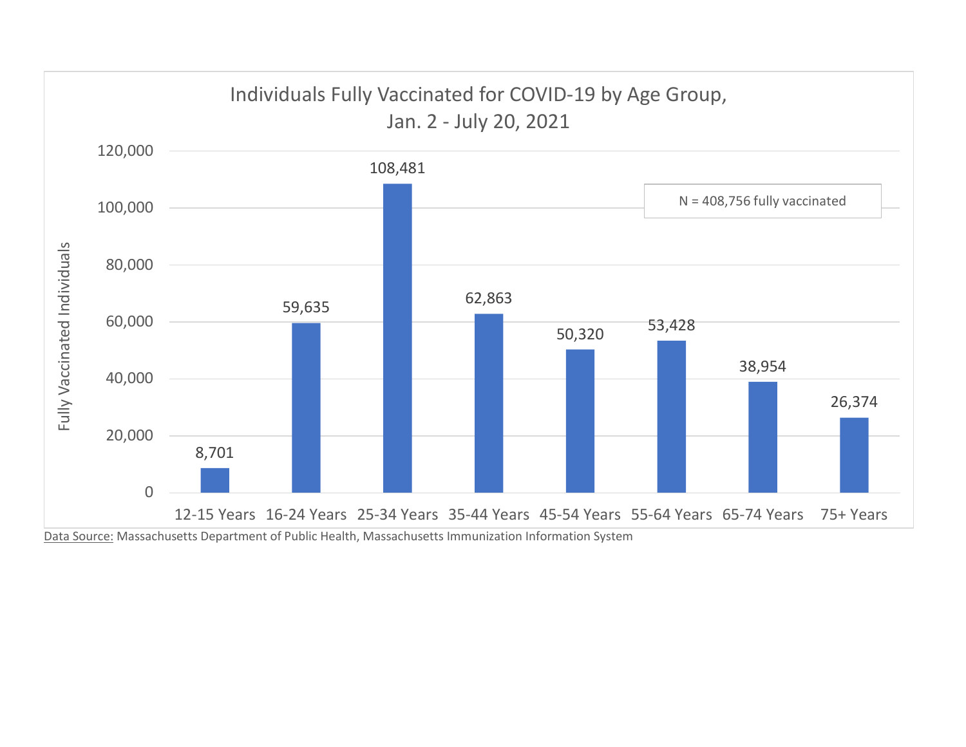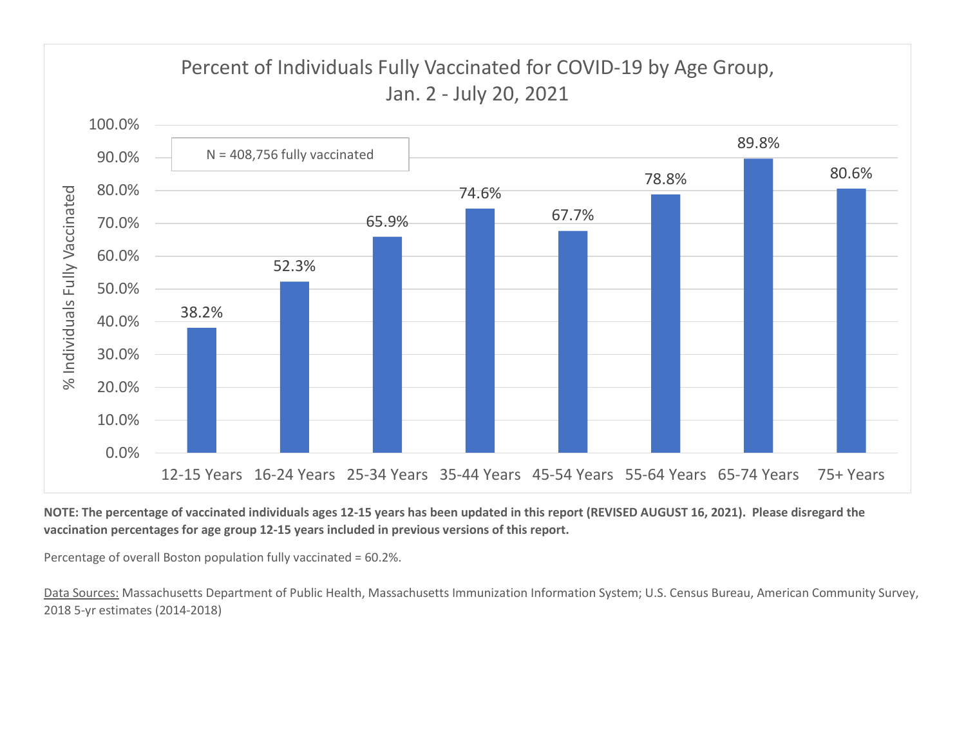

NOTE: The percentage of vaccinated individuals ages 12-15 years has been updated in this report (REVISED AUGUST 16, 2021). Please disregard the vaccination percentages for age group 12-15 years included in previous versions of this report.

Percentage of overall Boston population fully vaccinated = 60.2%.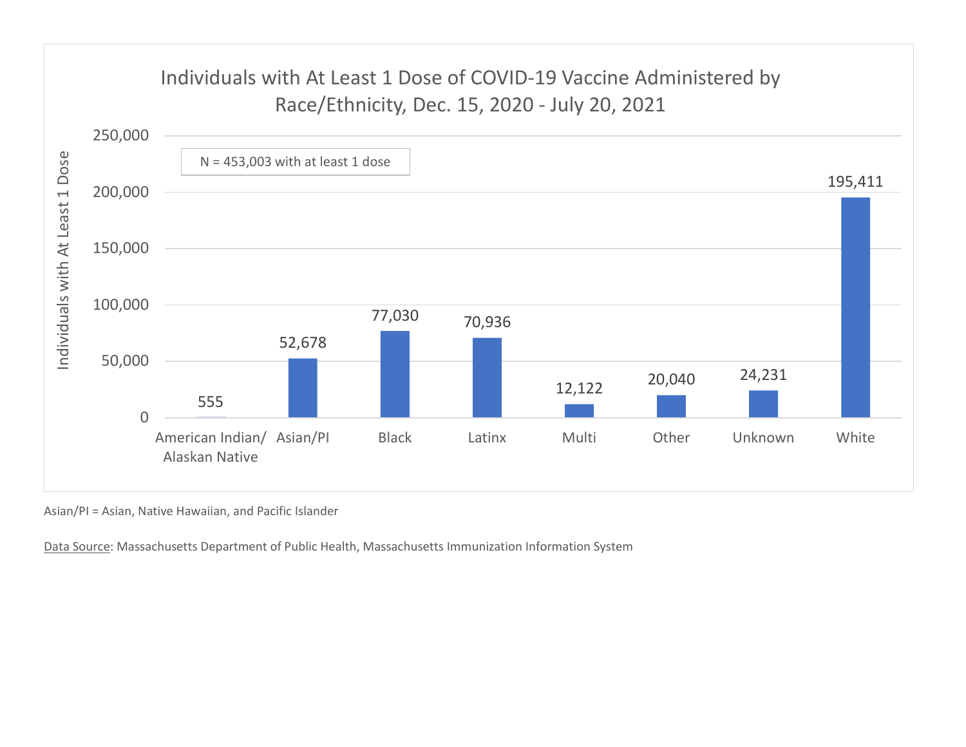

Asian/PI = Asian, Native Hawaiian, and Pacific Islander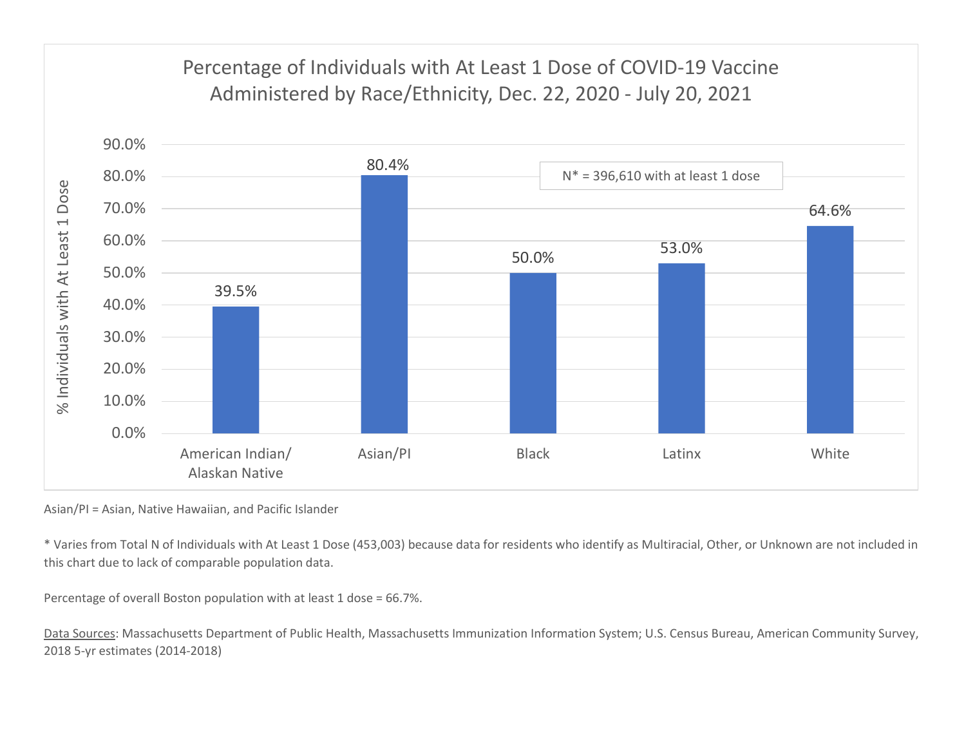

Asian/PI = Asian, Native Hawaiian, and Pacific Islander

\* Varies from Total N of Individuals with At Least 1 Dose (453,003) because data for residents who identify as Multiracial, Other, or Unknown are not included in this chart due to lack of comparable population data.

Percentage of overall Boston population with at least 1 dose = 66.7%.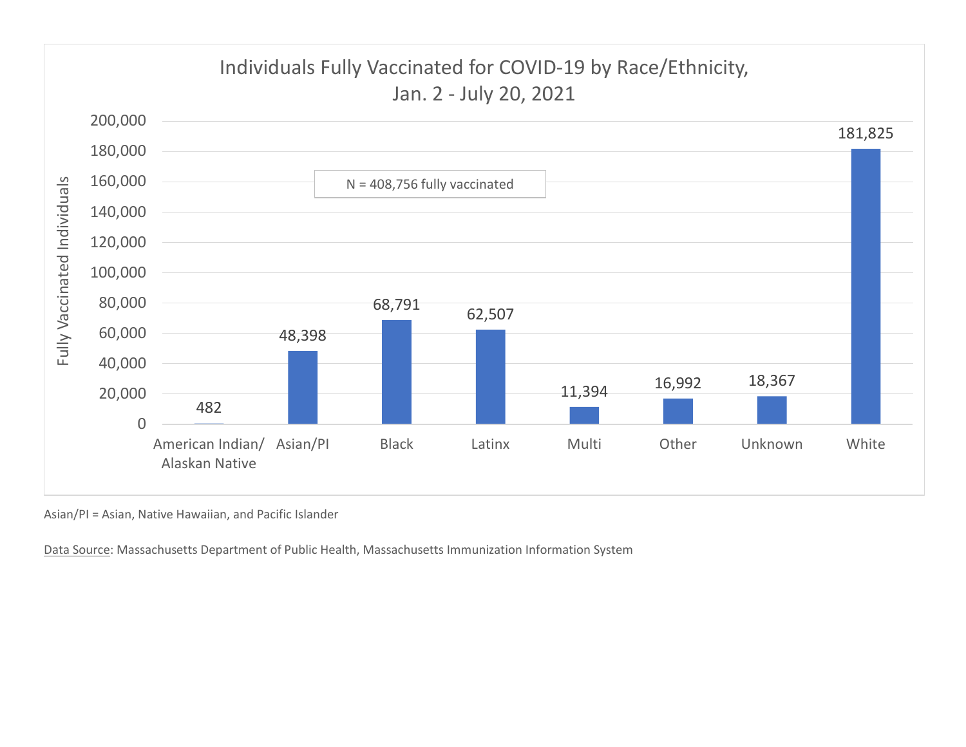

Asian/PI = Asian, Native Hawaiian, and Pacific Islander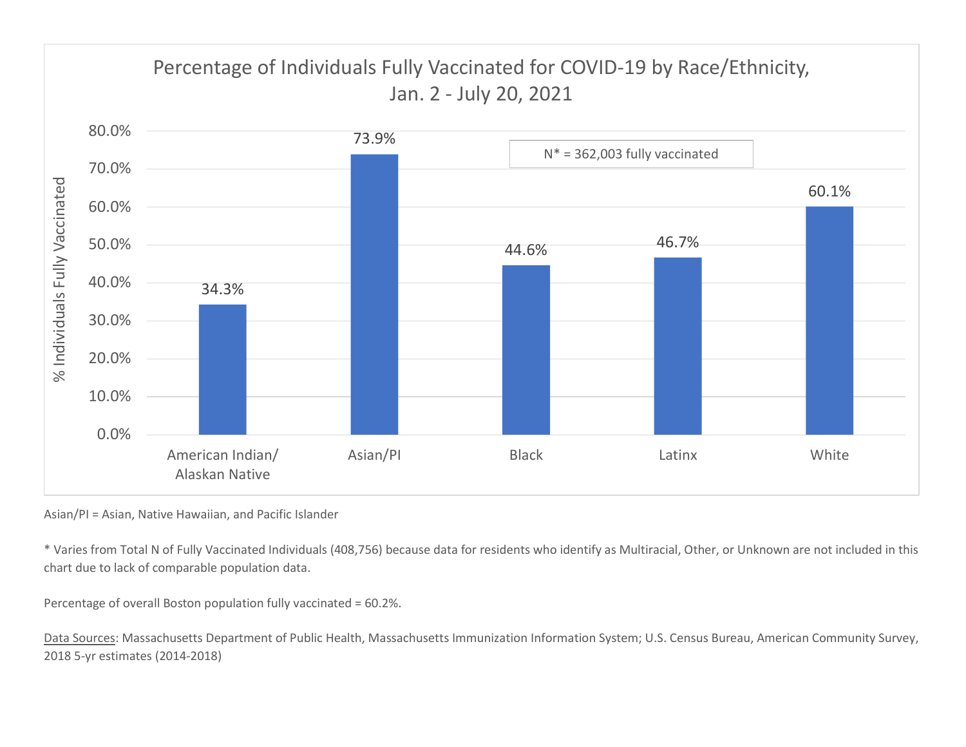

Asian/PI = Asian, Native Hawaiian, and Pacific Islander

\* Varies from Total N of Fully Vaccinated Individuals (408,756) because data for residents who identify as Multiracial, Other, or Unknown are not included in this chart due to lack of comparable population data.

Percentage of overall Boston population fully vaccinated = 60.2%.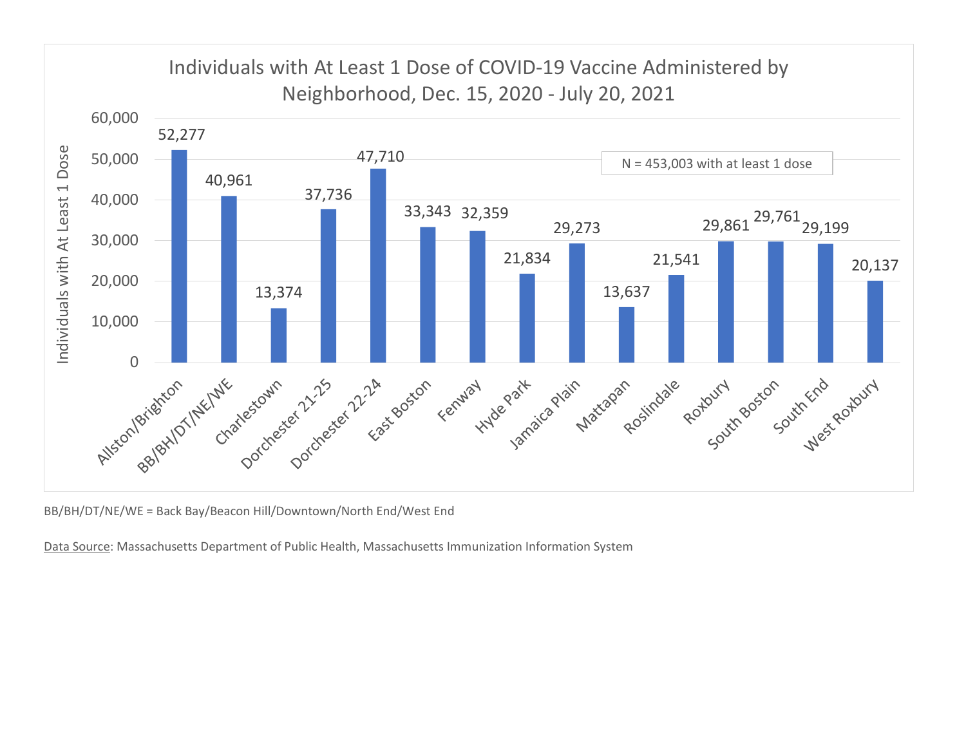

BB/BH/DT/NE/WE = Back Bay/Beacon Hill/Downtown/North End/West End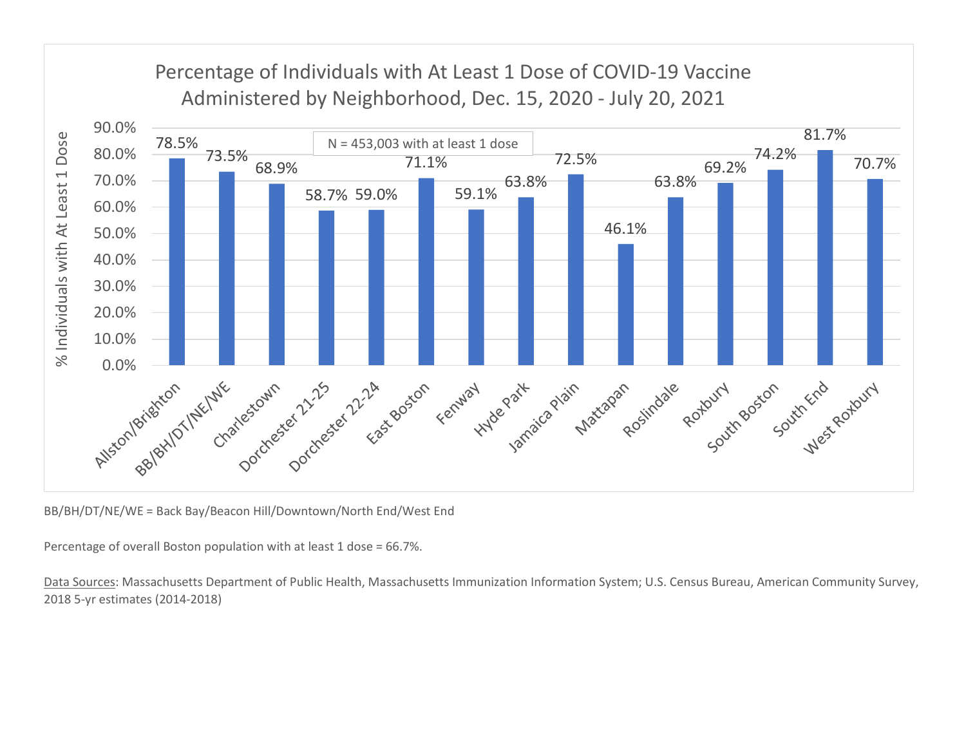

BB/BH/DT/NE/WE = Back Bay/Beacon Hill/Downtown/North End/West End

Percentage of overall Boston population with at least 1 dose = 66.7%.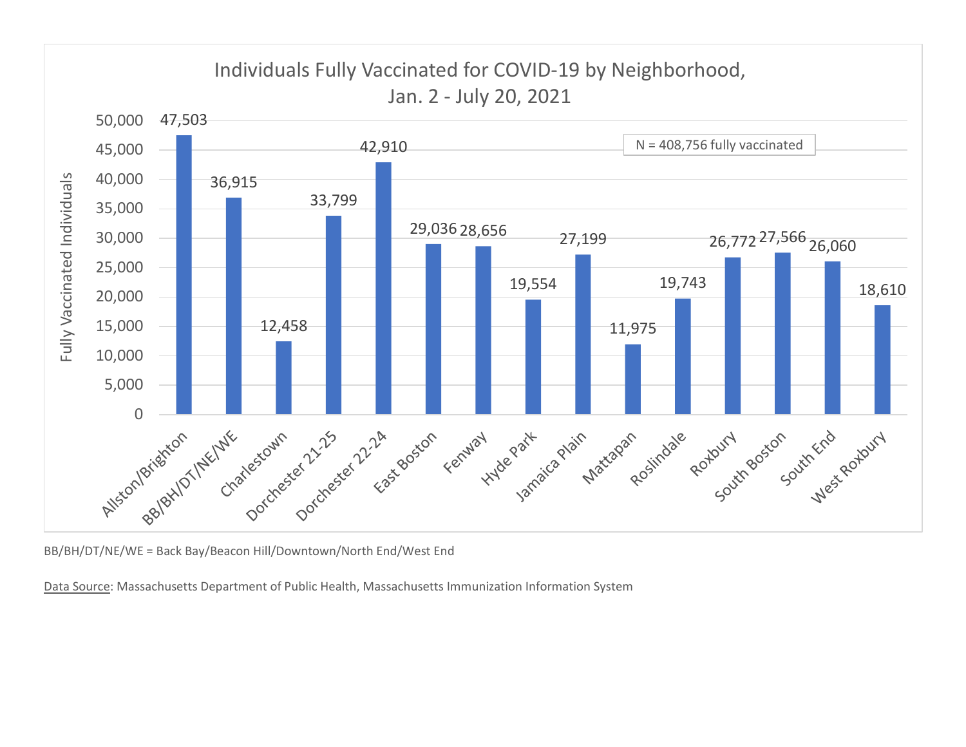

BB/BH/DT/NE/WE = Back Bay/Beacon Hill/Downtown/North End/West End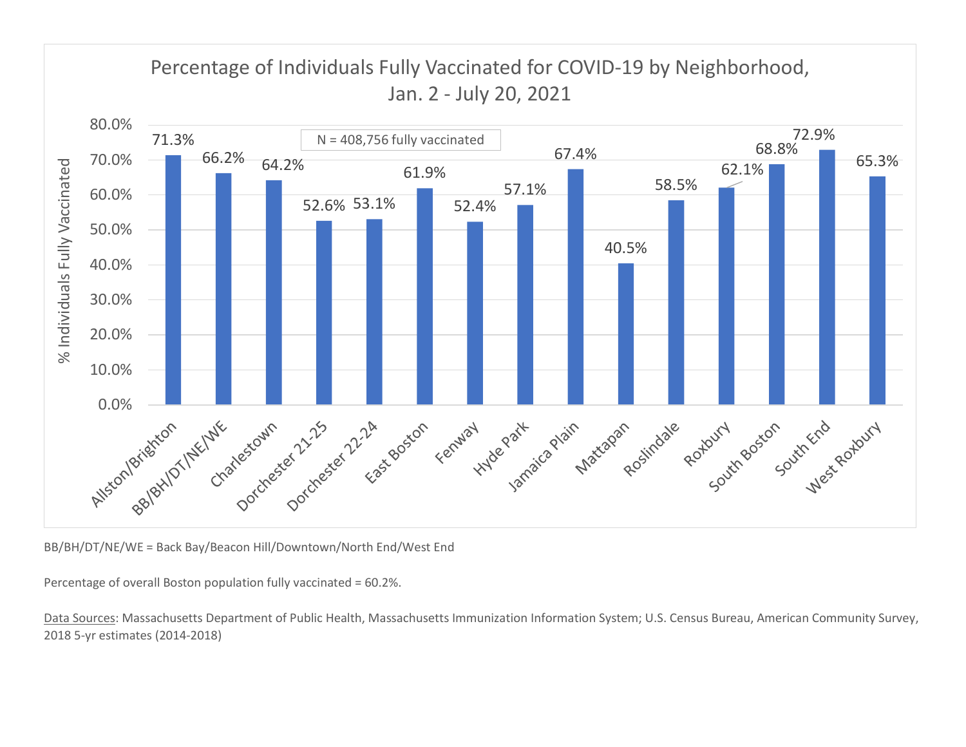

BB/BH/DT/NE/WE = Back Bay/Beacon Hill/Downtown/North End/West End

Percentage of overall Boston population fully vaccinated = 60.2%.